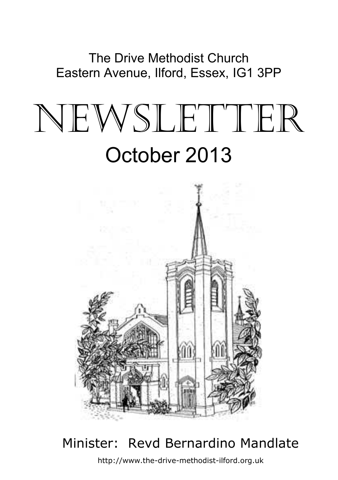The Drive Methodist Church Eastern Avenue, Ilford, Essex, IG1 3PP

# NEWSLETTER October 2013



## $\overline{a}$ Minister: Revd Bernardino Mandlate

http://www.the-drive-methodist-ilford.org.uk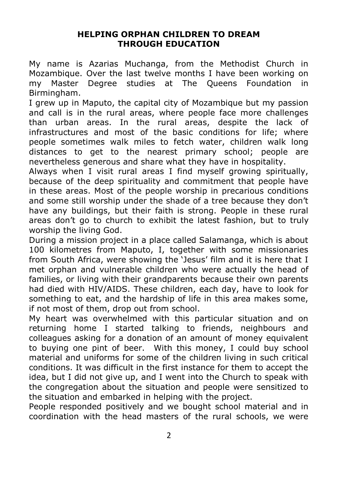#### **HELPING ORPHAN CHILDREN TO DREAM THROUGH EDUCATION**

My name is Azarias Muchanga, from the Methodist Church in Mozambique. Over the last twelve months I have been working on my Master Degree studies at The Queens Foundation in Birmingham.

I grew up in Maputo, the capital city of Mozambique but my passion and call is in the rural areas, where people face more challenges than urban areas. In the rural areas, despite the lack of infrastructures and most of the basic conditions for life; where people sometimes walk miles to fetch water, children walk long distances to get to the nearest primary school; people are nevertheless generous and share what they have in hospitality.

Always when I visit rural areas I find myself growing spiritually, because of the deep spirituality and commitment that people have in these areas. Most of the people worship in precarious conditions and some still worship under the shade of a tree because they don't have any buildings, but their faith is strong. People in these rural areas don't go to church to exhibit the latest fashion, but to truly worship the living God.

During a mission project in a place called Salamanga, which is about 100 kilometres from Maputo, I, together with some missionaries from South Africa, were showing the 'Jesus' film and it is here that I met orphan and vulnerable children who were actually the head of families, or living with their grandparents because their own parents had died with HIV/AIDS. These children, each day, have to look for something to eat, and the hardship of life in this area makes some, if not most of them, drop out from school.

My heart was overwhelmed with this particular situation and on returning home I started talking to friends, neighbours and colleagues asking for a donation of an amount of money equivalent to buying one pint of beer. With this money, I could buy school material and uniforms for some of the children living in such critical conditions. It was difficult in the first instance for them to accept the idea, but I did not give up, and I went into the Church to speak with the congregation about the situation and people were sensitized to the situation and embarked in helping with the project.

People responded positively and we bought school material and in coordination with the head masters of the rural schools, we were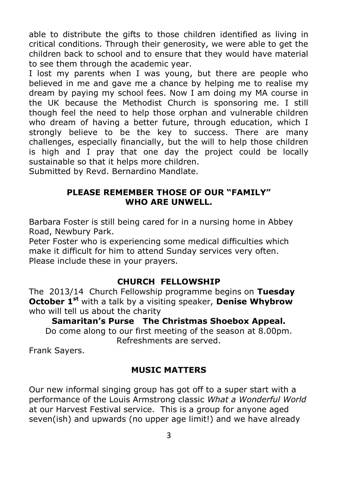able to distribute the gifts to those children identified as living in critical conditions. Through their generosity, we were able to get the children back to school and to ensure that they would have material to see them through the academic year.

I lost my parents when I was young, but there are people who believed in me and gave me a chance by helping me to realise my dream by paying my school fees. Now I am doing my MA course in the UK because the Methodist Church is sponsoring me. I still though feel the need to help those orphan and vulnerable children who dream of having a better future, through education, which I strongly believe to be the key to success. There are many challenges, especially financially, but the will to help those children is high and I pray that one day the project could be locally sustainable so that it helps more children.

Submitted by Revd. Bernardino Mandlate.

### **PLEASE REMEMBER THOSE OF OUR "FAMILY" WHO ARE UNWELL.**

Barbara Foster is still being cared for in a nursing home in Abbey Road, Newbury Park.

Peter Foster who is experiencing some medical difficulties which make it difficult for him to attend Sunday services very often. Please include these in your prayers.

#### **CHURCH FELLOWSHIP**

The 2013/14 Church Fellowship programme begins on **Tuesday October 1st** with a talk by a visiting speaker, **Denise Whybrow** who will tell us about the charity

**Samaritan's Purse The Christmas Shoebox Appeal.** Do come along to our first meeting of the season at 8.00pm. Refreshments are served.

Frank Sayers.

## **MUSIC MATTERS**

Our new informal singing group has got off to a super start with a performance of the Louis Armstrong classic *What a Wonderful World* at our Harvest Festival service. This is a group for anyone aged seven(ish) and upwards (no upper age limit!) and we have already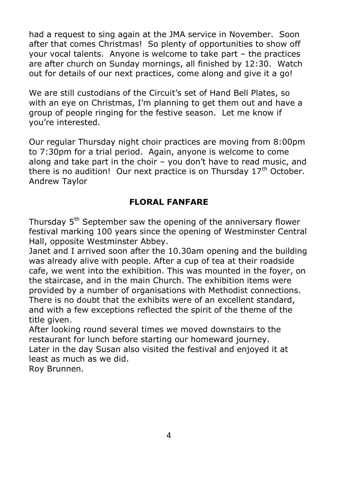had a request to sing again at the JMA service in November. Soon after that comes Christmas! So plenty of opportunities to show off your vocal talents. Anyone is welcome to take part – the practices are after church on Sunday mornings, all finished by 12:30. Watch out for details of our next practices, come along and give it a go!

We are still custodians of the Circuit's set of Hand Bell Plates, so with an eye on Christmas, I'm planning to get them out and have a group of people ringing for the festive season. Let me know if you're interested.

Our regular Thursday night choir practices are moving from 8:00pm to 7:30pm for a trial period. Again, anyone is welcome to come along and take part in the choir – you don't have to read music, and there is no audition! Our next practice is on Thursday  $17<sup>th</sup>$  October. Andrew Taylor

## **FLORAL FANFARE**

Thursday 5<sup>th</sup> September saw the opening of the anniversary flower festival marking 100 years since the opening of Westminster Central Hall, opposite Westminster Abbey.

Janet and I arrived soon after the 10.30am opening and the building was already alive with people. After a cup of tea at their roadside cafe, we went into the exhibition. This was mounted in the foyer, on the staircase, and in the main Church. The exhibition items were provided by a number of organisations with Methodist connections. There is no doubt that the exhibits were of an excellent standard, and with a few exceptions reflected the spirit of the theme of the title given.

After looking round several times we moved downstairs to the restaurant for lunch before starting our homeward journey. Later in the day Susan also visited the festival and enjoyed it at least as much as we did.

Roy Brunnen.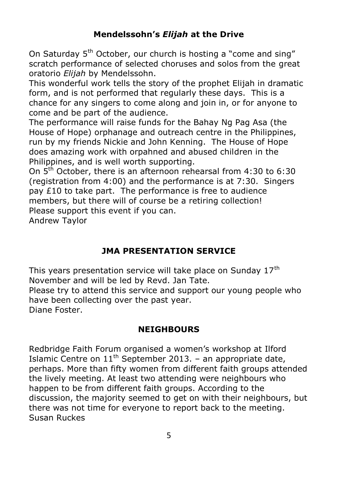## **Mendelssohn's** *Elijah* **at the Drive**

On Saturday 5<sup>th</sup> October, our church is hosting a "come and sing" scratch performance of selected choruses and solos from the great oratorio *Elijah* by Mendelssohn.

This wonderful work tells the story of the prophet Elijah in dramatic form, and is not performed that regularly these days. This is a chance for any singers to come along and join in, or for anyone to come and be part of the audience.

The performance will raise funds for the Bahay Ng Pag Asa (the House of Hope) orphanage and outreach centre in the Philippines, run by my friends Nickie and John Kenning. The House of Hope does amazing work with orpahned and abused children in the Philippines, and is well worth supporting.

On 5th October, there is an afternoon rehearsal from 4:30 to 6:30 (registration from 4:00) and the performance is at 7:30. Singers pay £10 to take part. The performance is free to audience members, but there will of course be a retiring collection! Please support this event if you can.

Andrew Taylor

# **JMA PRESENTATION SERVICE**

This years presentation service will take place on Sunday  $17<sup>th</sup>$ November and will be led by Revd. Jan Tate. Please try to attend this service and support our young people who have been collecting over the past year. Diane Foster.

## **NEIGHBOURS**

Redbridge Faith Forum organised a women's workshop at Ilford Islamic Centre on  $11<sup>th</sup>$  September 2013. – an appropriate date, perhaps. More than fifty women from different faith groups attended the lively meeting. At least two attending were neighbours who happen to be from different faith groups. According to the discussion, the majority seemed to get on with their neighbours, but there was not time for everyone to report back to the meeting. Susan Ruckes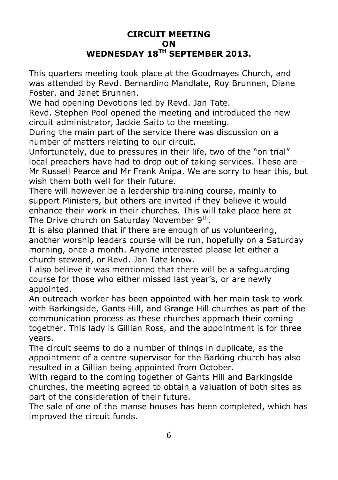### **CIRCUIT MEETING ON WEDNESDAY 18TH SEPTEMBER 2013.**

This quarters meeting took place at the Goodmayes Church, and was attended by Revd. Bernardino Mandlate, Roy Brunnen, Diane Foster, and Janet Brunnen.

We had opening Devotions led by Revd. Jan Tate.

Revd. Stephen Pool opened the meeting and introduced the new circuit administrator, Jackie Saito to the meeting.

During the main part of the service there was discussion on a number of matters relating to our circuit.

Unfortunately, due to pressures in their life, two of the "on trial" local preachers have had to drop out of taking services. These are – Mr Russell Pearce and Mr Frank Anipa. We are sorry to hear this, but wish them both well for their future.

There will however be a leadership training course, mainly to support Ministers, but others are invited if they believe it would enhance their work in their churches. This will take place here at The Drive church on Saturday November 9<sup>th</sup>.

It is also planned that if there are enough of us volunteering, another worship leaders course will be run, hopefully on a Saturday morning, once a month. Anyone interested please let either a church steward, or Revd. Jan Tate know.

I also believe it was mentioned that there will be a safeguarding course for those who either missed last year's, or are newly appointed.

An outreach worker has been appointed with her main task to work with Barkingside, Gants Hill, and Grange Hill churches as part of the communication process as these churches approach their coming together. This lady is Gillian Ross, and the appointment is for three years.

The circuit seems to do a number of things in duplicate, as the appointment of a centre supervisor for the Barking church has also resulted in a Gillian being appointed from October.

With regard to the coming together of Gants Hill and Barkingside churches, the meeting agreed to obtain a valuation of both sites as part of the consideration of their future.

The sale of one of the manse houses has been completed, which has improved the circuit funds.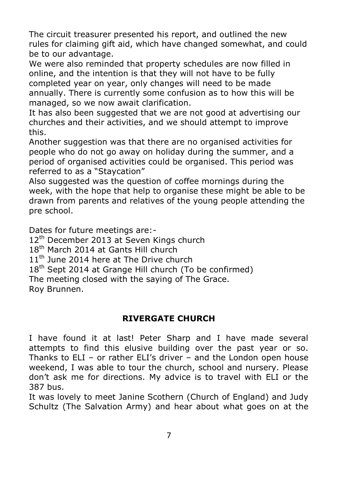The circuit treasurer presented his report, and outlined the new rules for claiming gift aid, which have changed somewhat, and could be to our advantage.

We were also reminded that property schedules are now filled in online, and the intention is that they will not have to be fully completed year on year, only changes will need to be made annually. There is currently some confusion as to how this will be managed, so we now await clarification.

It has also been suggested that we are not good at advertising our churches and their activities, and we should attempt to improve this.

Another suggestion was that there are no organised activities for people who do not go away on holiday during the summer, and a period of organised activities could be organised. This period was referred to as a "Staycation"

Also suggested was the question of coffee mornings during the week, with the hope that help to organise these might be able to be drawn from parents and relatives of the young people attending the pre school.

Dates for future meetings are:-

12<sup>th</sup> December 2013 at Seven Kings church

18<sup>th</sup> March 2014 at Gants Hill church

11<sup>th</sup> June 2014 here at The Drive church

 $18<sup>th</sup>$  Sept 2014 at Grange Hill church (To be confirmed)

The meeting closed with the saying of The Grace.

Roy Brunnen.

# **RIVERGATE CHURCH**

I have found it at last! Peter Sharp and I have made several attempts to find this elusive building over the past year or so. Thanks to ELI – or rather ELI's driver – and the London open house weekend, I was able to tour the church, school and nursery. Please don't ask me for directions. My advice is to travel with ELI or the 387 bus.

It was lovely to meet Janine Scothern (Church of England) and Judy Schultz (The Salvation Army) and hear about what goes on at the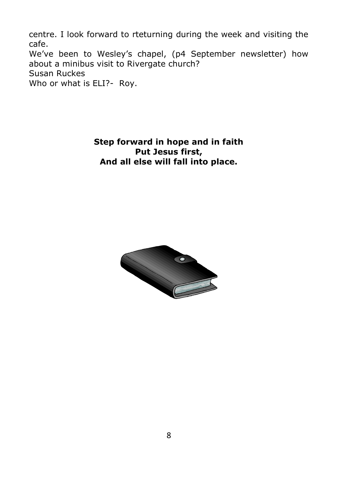centre. I look forward to rteturning during the week and visiting the cafe. We've been to Wesley's chapel, (p4 September newsletter) how about a minibus visit to Rivergate church? Susan Ruckes Who or what is ELI?- Roy.

> **Step forward in hope and in faith Put Jesus first, And all else will fall into place.**

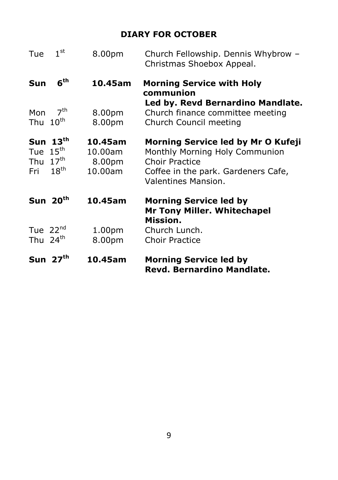# **DIARY FOR OCTOBER**

| Tue                         | 1 <sup>st</sup>                                    | 8.00pm                                  | Church Fellowship. Dennis Whybrow -<br>Christmas Shoebox Appeal.                                                                                            |
|-----------------------------|----------------------------------------------------|-----------------------------------------|-------------------------------------------------------------------------------------------------------------------------------------------------------------|
| Sun                         | 6 <sup>th</sup>                                    | 10.45am                                 | <b>Morning Service with Holy</b><br>communion<br>Led by. Revd Bernardino Mandlate.                                                                          |
| Mon<br>Thu                  | 7 <sup>th</sup><br>$10^{\text{th}}$                | 8.00pm<br>8.00pm                        | Church finance committee meeting<br>Church Council meeting                                                                                                  |
| Tue<br>Thu $17th$<br>Fri    | Sun $13th$<br>$15^{\text{th}}$<br>$18^{\text{th}}$ | 10.45am<br>10.00am<br>8.00pm<br>10.00am | Morning Service led by Mr O Kufeji<br>Monthly Morning Holy Communion<br><b>Choir Practice</b><br>Coffee in the park. Gardeners Cafe,<br>Valentines Mansion. |
|                             | Sun $20th$                                         | 10.45am                                 | <b>Morning Service led by</b><br>Mr Tony Miller. Whitechapel<br>Mission.                                                                                    |
| Tue $22^{nd}$<br>Thu $24th$ |                                                    | 1.00 <sub>pm</sub><br>8.00pm            | Church Lunch.<br><b>Choir Practice</b>                                                                                                                      |
|                             | Sun $27th$                                         | 10.45am                                 | <b>Morning Service led by</b><br>Revd. Bernardino Mandlate.                                                                                                 |